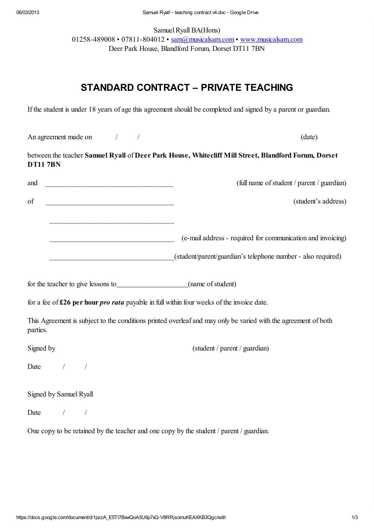Samuel Ryall BA(Hons) 01258-489008 • 07811-804012 • [sam@musicalsam.com](mailto:sam@musicalsam.com) • [www.musicalsam.com](http://www.google.com/url?q=http%3A%2F%2Fwww.musicalsam.com&sa=D&sntz=1&usg=AFQjCNHixfmuvaIPtbmxApC7EfjNakmUfQ) Deer Park House, Blandford Forum, Dorset DT11 7BN

# STANDARD CONTRACT – PRIVATE TEACHING

If the student is under 18 years of age this agreement should be completed and signed by a parent or guardian.

An agreement made on  $/$  /  $/$  (date)

between the teacher Samuel Ryall of Deer Park House, Whitecliff Mill Street, Blandford Forum, Dorset DT11 7BN

| and<br><u> 1989 - Johann Barbara, martin amerikan basar da</u>                            | (full name of student / parent / guardian)                                                                                  |
|-------------------------------------------------------------------------------------------|-----------------------------------------------------------------------------------------------------------------------------|
| of<br><u> 1989 - Johann John Harry Hermann (f. 1989)</u>                                  | (student's address)                                                                                                         |
| the control of the control of the control of the control of the control of the control of | (e-mail address - required for communication and invoicing)<br>(student/parent/guardian's telephone number - also required) |
|                                                                                           |                                                                                                                             |
|                                                                                           | for a fee of $£26$ per hour <i>pro rata</i> payable in full within four weeks of the invoice date.                          |
| parties.                                                                                  | This Agreement is subject to the conditions printed overleaf and may only be varied with the agreement of both              |
| Signed by                                                                                 | (student / parent / guardian)                                                                                               |
| Date $/$ /                                                                                |                                                                                                                             |
| Signed by Samuel Ryall                                                                    |                                                                                                                             |
| Date /                                                                                    |                                                                                                                             |
|                                                                                           | One copy to be retained by the teacher and one copy by the student / parent / guardian.                                     |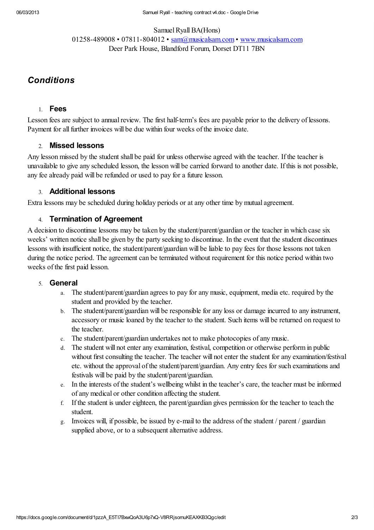#### Samuel Ryall BA(Hons)

01258-489008 • 07811-804012 • [sam@musicalsam.com](mailto:sam@musicalsam.com) • [www.musicalsam.com](http://www.google.com/url?q=http%3A%2F%2Fwww.musicalsam.com&sa=D&sntz=1&usg=AFQjCNHixfmuvaIPtbmxApC7EfjNakmUfQ) Deer Park House, Blandford Forum, Dorset DT11 7BN

### **Conditions**

### 1. Fees

Lesson fees are subject to annual review. The first half-term's fees are payable prior to the delivery of lessons. Payment for all further invoices will be due within four weeks of the invoice date.

### 2. Missed lessons

Any lesson missed by the student shall be paid for unless otherwise agreed with the teacher. If the teacher is unavailable to give any scheduled lesson, the lesson will be carried forward to another date. If this is not possible, any fee already paid will be refunded or used to pay for a future lesson.

### 3. Additional lessons

Extra lessons may be scheduled during holiday periods or at any other time by mutual agreement.

### 4. Termination of Agreement

A decision to discontinue lessons may be taken by the student/parent/guardian or the teacher in which case six weeks' written notice shall be given by the party seeking to discontinue. In the event that the student discontinues lessons with insufficient notice, the student/parent/guardian will be liable to pay fees for those lessons not taken during the notice period. The agreement can be terminated without requirement for this notice period within two weeks of the first paid lesson.

#### 5. General

- a. The student/parent/guardian agrees to pay for any music, equipment, media etc. required by the student and provided by the teacher.
- b. The student/parent/guardian will be responsible for any loss or damage incurred to any instrument, accessory or music loaned by the teacher to the student. Such items will be returned on request to the teacher.
- c. The student/parent/guardian undertakes not to make photocopies of any music.
- d. The student will not enter any examination, festival, competition or otherwise perform in public without first consulting the teacher. The teacher will not enter the student for any examination/festival etc. without the approval of the student/parent/guardian. Any entry fees for such examinations and festivals will be paid by the student/parent/guardian.
- e. In the interests of the student's wellbeing whilst in the teacher's care, the teacher must be informed of any medical or other condition affecting the student.
- f. If the student is under eighteen, the parent/guardian gives permission for the teacher to teach the student.
- g. Invoices will, if possible, be issued by e-mail to the address of the student / parent / guardian supplied above, or to a subsequent alternative address.